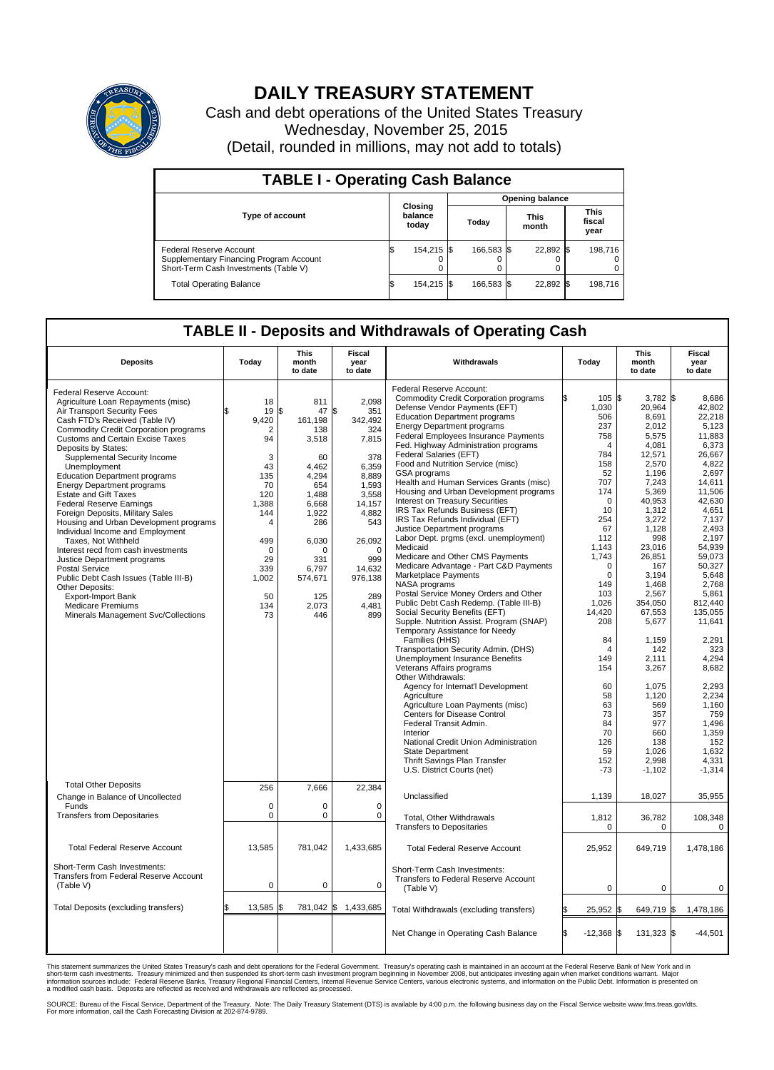

## **DAILY TREASURY STATEMENT**

Cash and debt operations of the United States Treasury Wednesday, November 25, 2015 (Detail, rounded in millions, may not add to totals)

| <b>TABLE I - Operating Cash Balance</b>                                                                     |    |                             |  |                        |  |                      |  |                               |  |  |  |
|-------------------------------------------------------------------------------------------------------------|----|-----------------------------|--|------------------------|--|----------------------|--|-------------------------------|--|--|--|
|                                                                                                             |    |                             |  | <b>Opening balance</b> |  |                      |  |                               |  |  |  |
| <b>Type of account</b>                                                                                      |    | Closing<br>balance<br>today |  | Today                  |  | <b>This</b><br>month |  | <b>This</b><br>fiscal<br>year |  |  |  |
| Federal Reserve Account<br>Supplementary Financing Program Account<br>Short-Term Cash Investments (Table V) |    | 154,215 \$                  |  | 166.583 \$             |  | 22,892 \$            |  | 198,716                       |  |  |  |
| <b>Total Operating Balance</b>                                                                              | ıа | 154,215 \$                  |  | 166.583 \$             |  | 22,892 \$            |  | 198,716                       |  |  |  |

## **TABLE II - Deposits and Withdrawals of Operating Cash**

|                                               |             | <b>This</b>      | Fiscal          |                                                  |                 | <b>This</b>      | <b>Fiscal</b>   |
|-----------------------------------------------|-------------|------------------|-----------------|--------------------------------------------------|-----------------|------------------|-----------------|
| <b>Deposits</b>                               | Today       | month<br>to date | year<br>to date | Withdrawals                                      | Today           | month<br>to date | year<br>to date |
| Federal Reserve Account:                      |             |                  |                 | Federal Reserve Account:                         |                 |                  |                 |
| Agriculture Loan Repayments (misc)            | 18          | 811              | 2,098           | <b>Commodity Credit Corporation programs</b>     | 105 \$          | $3,782$ \$       | 8,686           |
| Air Transport Security Fees                   | 19          | l\$<br>47        | l\$<br>351      | Defense Vendor Payments (EFT)                    | 1,030           | 20,964           | 42,802          |
| Cash FTD's Received (Table IV)                | 9,420       | 161,198          | 342,492         | <b>Education Department programs</b>             | 506             | 8.691            | 22.218          |
| <b>Commodity Credit Corporation programs</b>  | 2           | 138              | 324             | <b>Energy Department programs</b>                | 237             | 2,012            | 5,123           |
| <b>Customs and Certain Excise Taxes</b>       | 94          | 3,518            | 7,815           | <b>Federal Employees Insurance Payments</b>      | 758             | 5.575            | 11.883          |
| Deposits by States:                           |             |                  |                 | Fed. Highway Administration programs             | $\overline{4}$  | 4,081            | 6,373           |
| Supplemental Security Income                  | 3           | 60               | 378             | Federal Salaries (EFT)                           | 784             | 12,571           | 26.667          |
| Unemployment                                  | 43          | 4,462            | 6,359           | Food and Nutrition Service (misc)                | 158             | 2,570            | 4,822           |
| <b>Education Department programs</b>          | 135         | 4,294            | 8,889           | GSA programs                                     | 52              | 1,196            | 2,697           |
| <b>Energy Department programs</b>             | 70          | 654              | 1.593           | Health and Human Services Grants (misc)          | 707             | 7,243            | 14,611          |
| <b>Estate and Gift Taxes</b>                  | 120         | 1,488            | 3,558           | Housing and Urban Development programs           | 174             | 5.369            | 11.506          |
| <b>Federal Reserve Earnings</b>               | 1,388       | 6.668            | 14,157          | Interest on Treasury Securities                  | $\mathbf 0$     | 40,953           | 42,630          |
| Foreign Deposits, Military Sales              | 144         | 1,922            | 4,882           | IRS Tax Refunds Business (EFT)                   | 10              | 1,312            | 4,651           |
| Housing and Urban Development programs        | 4           | 286              | 543             | IRS Tax Refunds Individual (EFT)                 | 254             | 3,272            | 7,137           |
| Individual Income and Employment              |             |                  |                 | Justice Department programs                      | 67              | 1,128            | 2,493           |
| Taxes, Not Withheld                           | 499         | 6,030            | 26,092          | Labor Dept. prgms (excl. unemployment)           | 112             | 998              | 2,197           |
| Interest recd from cash investments           | $\mathbf 0$ | $\Omega$         | $\Omega$        | Medicaid                                         | 1.143           | 23,016           | 54.939          |
| Justice Department programs                   | 29          | 331              | 999             | Medicare and Other CMS Payments                  | 1,743           | 26,851           | 59,073          |
| <b>Postal Service</b>                         | 339         | 6,797            | 14,632          | Medicare Advantage - Part C&D Payments           | $\Omega$        | 167              | 50,327          |
| Public Debt Cash Issues (Table III-B)         | 1,002       | 574,671          | 976,138         | Marketplace Payments                             | $\Omega$        | 3.194            | 5.648           |
| Other Deposits:                               |             |                  |                 | NASA programs                                    | 149             | 1,468            | 2,768           |
| <b>Export-Import Bank</b>                     | 50          | 125              | 289             | Postal Service Money Orders and Other            | 103             | 2,567            | 5.861           |
| <b>Medicare Premiums</b>                      | 134         | 2,073            | 4,481           | Public Debt Cash Redemp. (Table III-B)           | 1,026           | 354,050          | 812,440         |
| Minerals Management Svc/Collections           | 73          | 446              | 899             | Social Security Benefits (EFT)                   | 14,420<br>208   | 67,553           | 135,055         |
|                                               |             |                  |                 | Supple. Nutrition Assist. Program (SNAP)         |                 | 5,677            | 11,641          |
|                                               |             |                  |                 | Temporary Assistance for Needy<br>Families (HHS) | 84              | 1,159            | 2,291           |
|                                               |             |                  |                 | Transportation Security Admin. (DHS)             | $\overline{4}$  | 142              | 323             |
|                                               |             |                  |                 | Unemployment Insurance Benefits                  | 149             | 2,111            | 4,294           |
|                                               |             |                  |                 | Veterans Affairs programs                        | 154             | 3,267            | 8,682           |
|                                               |             |                  |                 | Other Withdrawals:                               |                 |                  |                 |
|                                               |             |                  |                 | Agency for Internat'l Development                | 60              | 1,075            | 2,293           |
|                                               |             |                  |                 | Agriculture                                      | 58              | 1,120            | 2.234           |
|                                               |             |                  |                 | Agriculture Loan Payments (misc)                 | 63              | 569              | 1,160           |
|                                               |             |                  |                 | Centers for Disease Control                      | 73              | 357              | 759             |
|                                               |             |                  |                 | Federal Transit Admin.                           | 84              | 977              | 1.496           |
|                                               |             |                  |                 | Interior                                         | 70              | 660              | 1,359           |
|                                               |             |                  |                 | National Credit Union Administration             | 126             | 138              | 152             |
|                                               |             |                  |                 | <b>State Department</b>                          | 59              | 1,026            | 1,632           |
|                                               |             |                  |                 | Thrift Savings Plan Transfer                     | 152             | 2,998            | 4,331           |
|                                               |             |                  |                 | U.S. District Courts (net)                       | $-73$           | $-1,102$         | $-1,314$        |
| <b>Total Other Deposits</b>                   |             |                  |                 |                                                  |                 |                  |                 |
|                                               | 256         | 7,666            | 22,384          |                                                  |                 |                  |                 |
| Change in Balance of Uncollected              |             |                  |                 | Unclassified                                     | 1,139           | 18,027           | 35,955          |
| Funds                                         | $\mathbf 0$ | $\Omega$         | $\Omega$        |                                                  |                 |                  |                 |
| <b>Transfers from Depositaries</b>            | $\mathbf 0$ | 0                | $\mathbf 0$     | Total, Other Withdrawals                         | 1,812           | 36,782           | 108,348         |
|                                               |             |                  |                 | <b>Transfers to Depositaries</b>                 | $\mathbf 0$     | $\mathbf 0$      | $\Omega$        |
|                                               |             |                  |                 |                                                  |                 |                  |                 |
| <b>Total Federal Reserve Account</b>          | 13.585      | 781.042          | 1,433,685       | <b>Total Federal Reserve Account</b>             | 25,952          | 649,719          | 1,478,186       |
|                                               |             |                  |                 |                                                  |                 |                  |                 |
| Short-Term Cash Investments:                  |             |                  |                 | Short-Term Cash Investments:                     |                 |                  |                 |
| <b>Transfers from Federal Reserve Account</b> |             |                  |                 | Transfers to Federal Reserve Account             |                 |                  |                 |
| (Table V)                                     | $\pmb{0}$   | 0                | $\mathbf 0$     | (Table V)                                        | $\mathbf 0$     | $\mathbf 0$      | $\mathbf 0$     |
|                                               |             |                  |                 |                                                  |                 |                  |                 |
| <b>Total Deposits (excluding transfers)</b>   | 13,585      | 781,042 \$       | 1,433,685       | Total Withdrawals (excluding transfers)          | 25,952          | 649,719 \$<br>\$ | 1,478,186       |
|                                               |             |                  |                 |                                                  |                 |                  |                 |
|                                               |             |                  |                 | Net Change in Operating Cash Balance             | ß.<br>$-12,368$ | \$<br>131,323 \$ | $-44,501$       |
|                                               |             |                  |                 |                                                  |                 |                  |                 |
|                                               |             |                  |                 |                                                  |                 |                  |                 |

This statement summarizes the United States Treasury's cash and debt operations for the Federal Government. Treasury's operating cash is maintained in an account at the Federal Reserve Bank of New York and in<br>short-term ca

SOURCE: Bureau of the Fiscal Service, Department of the Treasury. Note: The Daily Treasury Statement (DTS) is available by 4:00 p.m. the following business day on the Fiscal Service website www.fms.treas.gov/dts.<br>For more